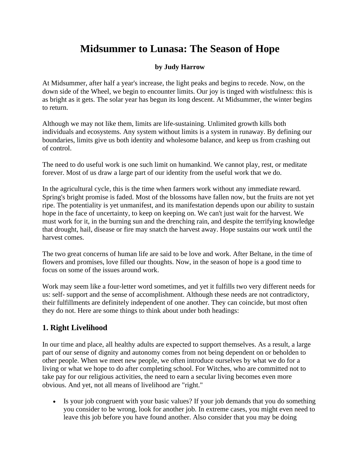## **Midsummer to Lunasa: The Season of Hope**

## **by Judy Harrow**

At Midsummer, after half a year's increase, the light peaks and begins to recede. Now, on the down side of the Wheel, we begin to encounter limits. Our joy is tinged with wistfulness: this is as bright as it gets. The solar year has begun its long descent. At Midsummer, the winter begins to return.

Although we may not like them, limits are life-sustaining. Unlimited growth kills both individuals and ecosystems. Any system without limits is a system in runaway. By defining our boundaries, limits give us both identity and wholesome balance, and keep us from crashing out of control.

The need to do useful work is one such limit on humankind. We cannot play, rest, or meditate forever. Most of us draw a large part of our identity from the useful work that we do.

In the agricultural cycle, this is the time when farmers work without any immediate reward. Spring's bright promise is faded. Most of the blossoms have fallen now, but the fruits are not yet ripe. The potentiality is yet unmanifest, and its manifestation depends upon our ability to sustain hope in the face of uncertainty, to keep on keeping on. We can't just wait for the harvest. We must work for it, in the burning sun and the drenching rain, and despite the terrifying knowledge that drought, hail, disease or fire may snatch the harvest away. Hope sustains our work until the harvest comes.

The two great concerns of human life are said to be love and work. After Beltane, in the time of flowers and promises, love filled our thoughts. Now, in the season of hope is a good time to focus on some of the issues around work.

Work may seem like a four-letter word sometimes, and yet it fulfills two very different needs for us: self- support and the sense of accomplishment. Although these needs are not contradictory, their fulfillments are definitely independent of one another. They can coincide, but most often they do not. Here are some things to think about under both headings:

## **1. Right Livelihood**

In our time and place, all healthy adults are expected to support themselves. As a result, a large part of our sense of dignity and autonomy comes from not being dependent on or beholden to other people. When we meet new people, we often introduce ourselves by what we do for a living or what we hope to do after completing school. For Witches, who are committed not to take pay for our religious activities, the need to earn a secular living becomes even more obvious. And yet, not all means of livelihood are "right."

• Is your job congruent with your basic values? If your job demands that you do something you consider to be wrong, look for another job. In extreme cases, you might even need to leave this job before you have found another. Also consider that you may be doing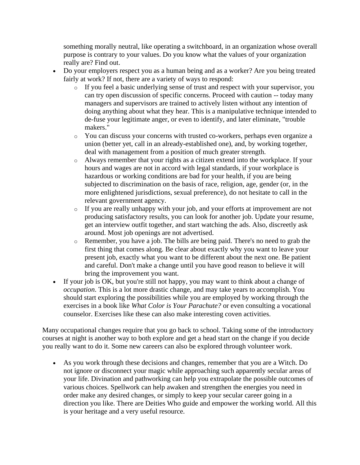something morally neutral, like operating a switchboard, in an organization whose overall purpose is contrary to your values. Do you know what the values of your organization really are? Find out.

- Do your employers respect you as a human being and as a worker? Are you being treated fairly at work? If not, there are a variety of ways to respond:
	- o If you feel a basic underlying sense of trust and respect with your supervisor, you can try open discussion of specific concerns. Proceed with caution -- today many managers and supervisors are trained to actively listen without any intention of doing anything about what they hear. This is a manipulative technique intended to de-fuse your legitimate anger, or even to identify, and later eliminate, "trouble makers."
	- o You can discuss your concerns with trusted co-workers, perhaps even organize a union (better yet, call in an already-established one), and, by working together, deal with management from a position of much greater strength.
	- o Always remember that your rights as a citizen extend into the workplace. If your hours and wages are not in accord with legal standards, if your workplace is hazardous or working conditions are bad for your health, if you are being subjected to discrimination on the basis of race, religion, age, gender (or, in the more enlightened jurisdictions, sexual preference), do not hesitate to call in the relevant government agency.
	- o If you are really unhappy with your job, and your efforts at improvement are not producing satisfactory results, you can look for another job. Update your resume, get an interview outfit together, and start watching the ads. Also, discreetly ask around. Most job openings are not advertised.
	- o Remember, you have a job. The bills are being paid. There's no need to grab the first thing that comes along. Be clear about exactly why you want to leave your present job, exactly what you want to be different about the next one. Be patient and careful. Don't make a change until you have good reason to believe it will bring the improvement you want.
- If your job is OK, but you're still not happy, you may want to think about a change of *occupation*. This is a lot more drastic change, and may take years to accomplish. You should start exploring the possibilities while you are employed by working through the exercises in a book like *What Color is Your Parachute?* or even consulting a vocational counselor. Exercises like these can also make interesting coven activities.

Many occupational changes require that you go back to school. Taking some of the introductory courses at night is another way to both explore and get a head start on the change if you decide you really want to do it. Some new careers can also be explored through volunteer work.

• As you work through these decisions and changes, remember that you are a Witch. Do not ignore or disconnect your magic while approaching such apparently secular areas of your life. Divination and pathworking can help you extrapolate the possible outcomes of various choices. Spellwork can help awaken and strengthen the energies you need in order make any desired changes, or simply to keep your secular career going in a direction you like. There are Deities Who guide and empower the working world. All this is your heritage and a very useful resource.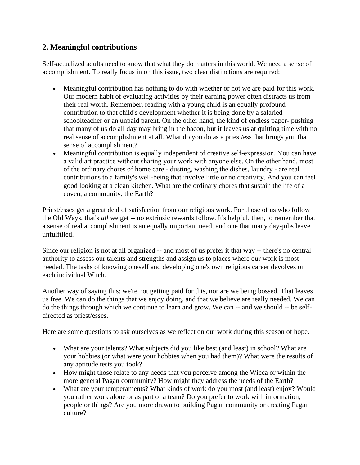## **2. Meaningful contributions**

Self-actualized adults need to know that what they do matters in this world. We need a sense of accomplishment. To really focus in on this issue, two clear distinctions are required:

- Meaningful contribution has nothing to do with whether or not we are paid for this work. Our modern habit of evaluating activities by their earning power often distracts us from their real worth. Remember, reading with a young child is an equally profound contribution to that child's development whether it is being done by a salaried schoolteacher or an unpaid parent. On the other hand, the kind of endless paper- pushing that many of us do all day may bring in the bacon, but it leaves us at quitting time with no real sense of accomplishment at all. What do you do as a priest/ess that brings you that sense of accomplishment?
- Meaningful contribution is equally independent of creative self-expression. You can have a valid art practice without sharing your work with anyone else. On the other hand, most of the ordinary chores of home care - dusting, washing the dishes, laundry - are real contributions to a family's well-being that involve little or no creativity. And you can feel good looking at a clean kitchen. What are the ordinary chores that sustain the life of a coven, a community, the Earth?

Priest/esses get a great deal of satisfaction from our religious work. For those of us who follow the Old Ways, that's *all* we get -- no extrinsic rewards follow. It's helpful, then, to remember that a sense of real accomplishment is an equally important need, and one that many day-jobs leave unfulfilled.

Since our religion is not at all organized -- and most of us prefer it that way -- there's no central authority to assess our talents and strengths and assign us to places where our work is most needed. The tasks of knowing oneself and developing one's own religious career devolves on each individual Witch.

Another way of saying this: we're not getting paid for this, nor are we being bossed. That leaves us free. We can do the things that we enjoy doing, and that we believe are really needed. We can do the things through which we continue to learn and grow. We can -- and we should -- be selfdirected as priest/esses.

Here are some questions to ask ourselves as we reflect on our work during this season of hope.

- What are your talents? What subjects did you like best (and least) in school? What are your hobbies (or what were your hobbies when you had them)? What were the results of any aptitude tests you took?
- How might those relate to any needs that you perceive among the Wicca or within the more general Pagan community? How might they address the needs of the Earth?
- What are your temperaments? What kinds of work do you most (and least) enjoy? Would you rather work alone or as part of a team? Do you prefer to work with information, people or things? Are you more drawn to building Pagan community or creating Pagan culture?